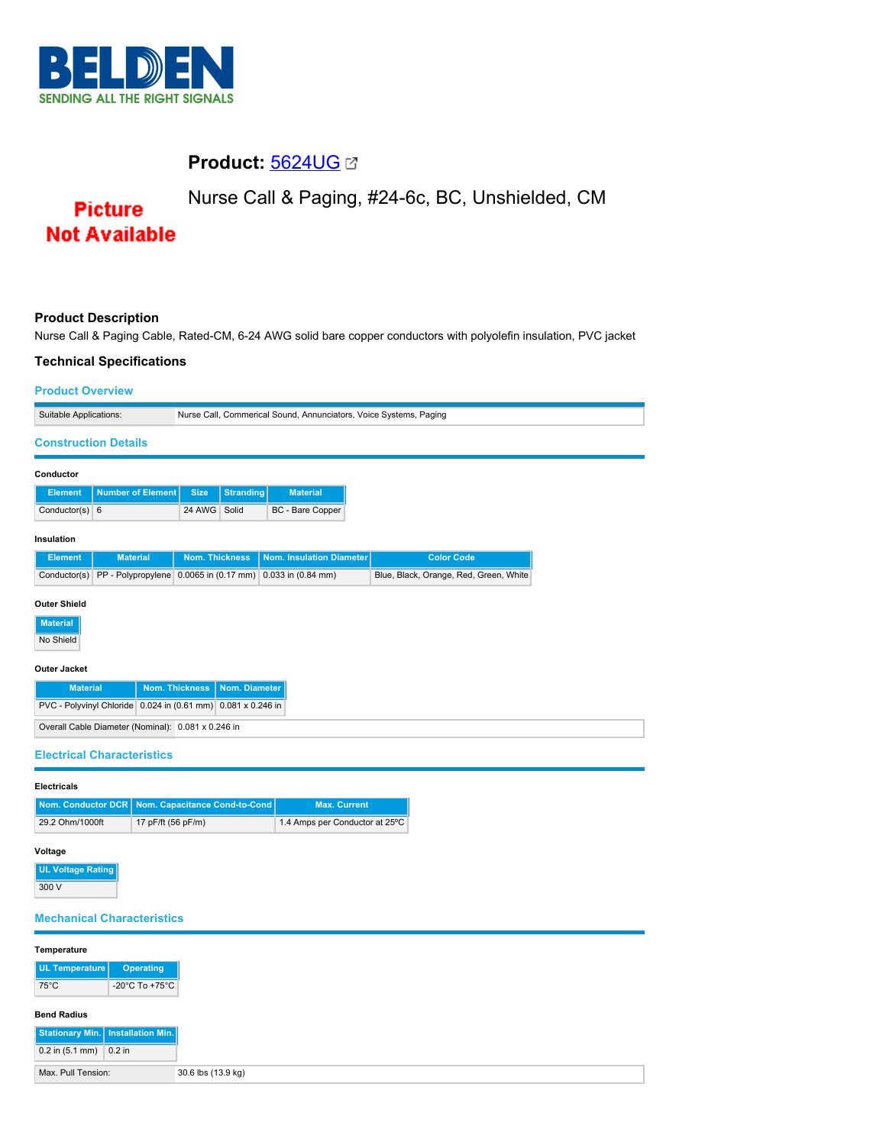

# **Product:** [5624UG](https://catalog.belden.com/index.cfm?event=pd&p=PF_5624UG&tab=downloads)

Nurse Call & Paging, #24-6c, BC, Unshielded, CM

**Picture Not Available** 

# **Product Description**

Nurse Call & Paging Cable, Rated-CM, 6-24 AWG solid bare copper conductors with polyolefin insulation, PVC jacket

# **Technical Specifications Product Overview** Suitable Applications: Nurse Call, Commerical Sound, Annunciators, Voice Systems, Paging **Construction Details Conductor Element Number of Element Size Stranding Material** Conductor(s) 6 24 AWG Solid BC - Bare Copper **Insulation Element Material Nom. Thickness Nom. Insulation Diameter Color Code** Conductor(s) PP - Polypropylene 0.0065 in (0.17 mm) 0.033 in (0.84 mm) Blue, Black, Orange, Red, Green, White **Outer Shield Material** No Shield **Outer Jacket Material Nom. Thickness Nom. Diameter** PVC - Polyvinyl Chloride 0.024 in (0.61 mm) 0.081 x 0.246 in Overall Cable Diameter (Nominal): 0.081 x 0.246 in **Electrical Characteristics**

| <b>Electricals</b> |                                                    |                                |  |
|--------------------|----------------------------------------------------|--------------------------------|--|
|                    | Nom. Conductor DCR   Nom. Capacitance Cond-to-Cond | <b>Max. Current</b>            |  |
| 29.2 Ohm/1000ft    | 17 pF/ft (56 pF/m)                                 | 1.4 Amps per Conductor at 25°C |  |

## **Voltage**

**UL Voltage Rating**  $300V$ 

### **Mechanical Characteristics**

| Temperature                         |                                      |
|-------------------------------------|--------------------------------------|
| UL Temperature                      | <b>Operating</b>                     |
| $75^{\circ}$ C                      | -20 $^{\circ}$ C To +75 $^{\circ}$ C |
| <b>Bend Radius</b>                  |                                      |
|                                     |                                      |
| Stationary Min.   Installation Min. |                                      |
| $0.2$ in (5.1 mm) 0.2 in            |                                      |
| Max. Pull Tension:                  | 30.6 lbs (13.9 kg)                   |